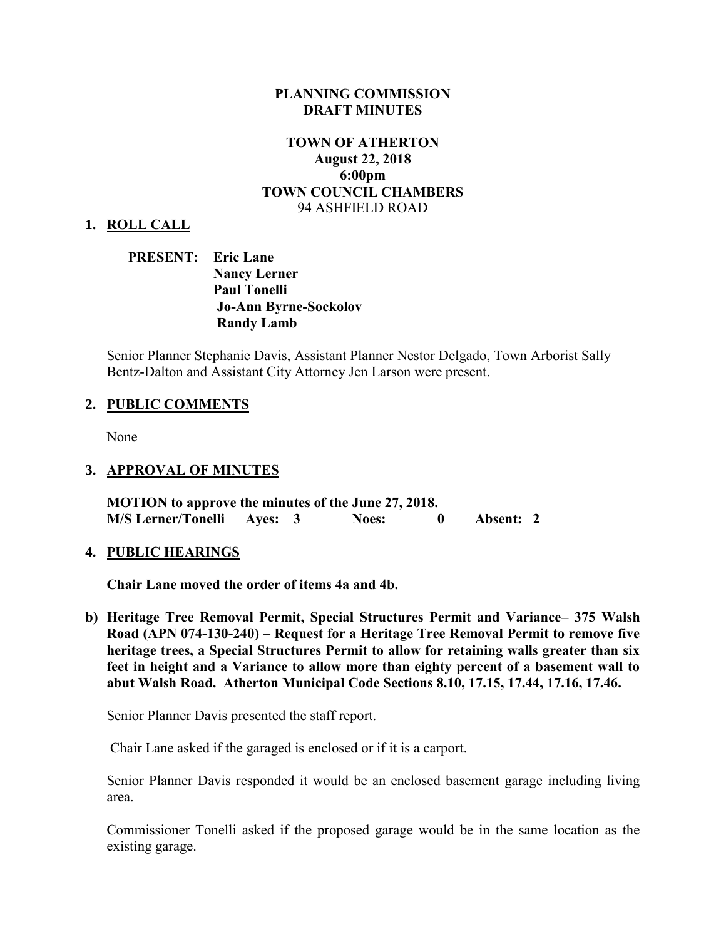### **PLANNING COMMISSION DRAFT MINUTES**

### **TOWN OF ATHERTON August 22, 2018 6:00pm TOWN COUNCIL CHAMBERS** 94 ASHFIELD ROAD

### **1. ROLL CALL**

**PRESENT: Eric Lane Nancy Lerner Paul Tonelli Jo-Ann Byrne-Sockolov Randy Lamb**

Senior Planner Stephanie Davis, Assistant Planner Nestor Delgado, Town Arborist Sally Bentz-Dalton and Assistant City Attorney Jen Larson were present.

### **2. PUBLIC COMMENTS**

None

#### **3. APPROVAL OF MINUTES**

**MOTION to approve the minutes of the June 27, 2018. M/S Lerner/Tonelli Ayes: 3 Noes: 0 Absent: 2** 

#### **4. PUBLIC HEARINGS**

**Chair Lane moved the order of items 4a and 4b.**

**b) Heritage Tree Removal Permit, Special Structures Permit and Variance– 375 Walsh Road (APN 074-130-240) – Request for a Heritage Tree Removal Permit to remove five heritage trees, a Special Structures Permit to allow for retaining walls greater than six feet in height and a Variance to allow more than eighty percent of a basement wall to abut Walsh Road. Atherton Municipal Code Sections 8.10, 17.15, 17.44, 17.16, 17.46.**

Senior Planner Davis presented the staff report.

Chair Lane asked if the garaged is enclosed or if it is a carport.

Senior Planner Davis responded it would be an enclosed basement garage including living area.

Commissioner Tonelli asked if the proposed garage would be in the same location as the existing garage.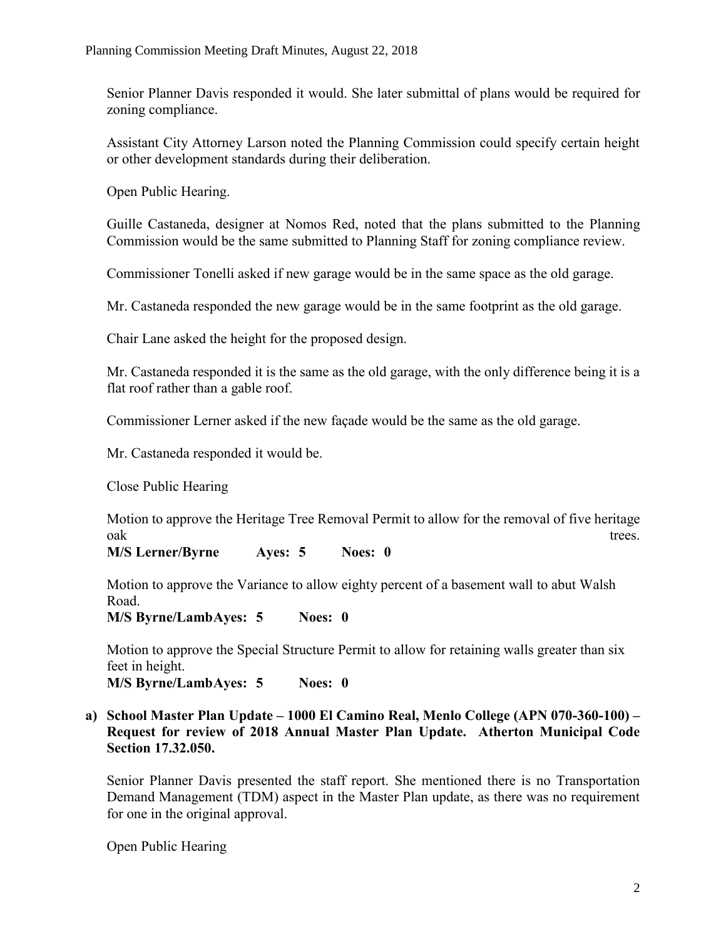Senior Planner Davis responded it would. She later submittal of plans would be required for zoning compliance.

Assistant City Attorney Larson noted the Planning Commission could specify certain height or other development standards during their deliberation.

Open Public Hearing.

Guille Castaneda, designer at Nomos Red, noted that the plans submitted to the Planning Commission would be the same submitted to Planning Staff for zoning compliance review.

Commissioner Tonelli asked if new garage would be in the same space as the old garage.

Mr. Castaneda responded the new garage would be in the same footprint as the old garage.

Chair Lane asked the height for the proposed design.

Mr. Castaneda responded it is the same as the old garage, with the only difference being it is a flat roof rather than a gable roof.

Commissioner Lerner asked if the new façade would be the same as the old garage.

Mr. Castaneda responded it would be.

Close Public Hearing

Motion to approve the Heritage Tree Removal Permit to allow for the removal of five heritage oak trees.

**M/S Lerner/Byrne Ayes: 5 Noes: 0** 

Motion to approve the Variance to allow eighty percent of a basement wall to abut Walsh Road.

**M/S Byrne/LambAyes: 5 Noes: 0** 

Motion to approve the Special Structure Permit to allow for retaining walls greater than six feet in height.

**M/S Byrne/LambAyes: 5 Noes: 0** 

**a) School Master Plan Update – 1000 El Camino Real, Menlo College (APN 070-360-100) – Request for review of 2018 Annual Master Plan Update. Atherton Municipal Code Section 17.32.050.**

Senior Planner Davis presented the staff report. She mentioned there is no Transportation Demand Management (TDM) aspect in the Master Plan update, as there was no requirement for one in the original approval.

Open Public Hearing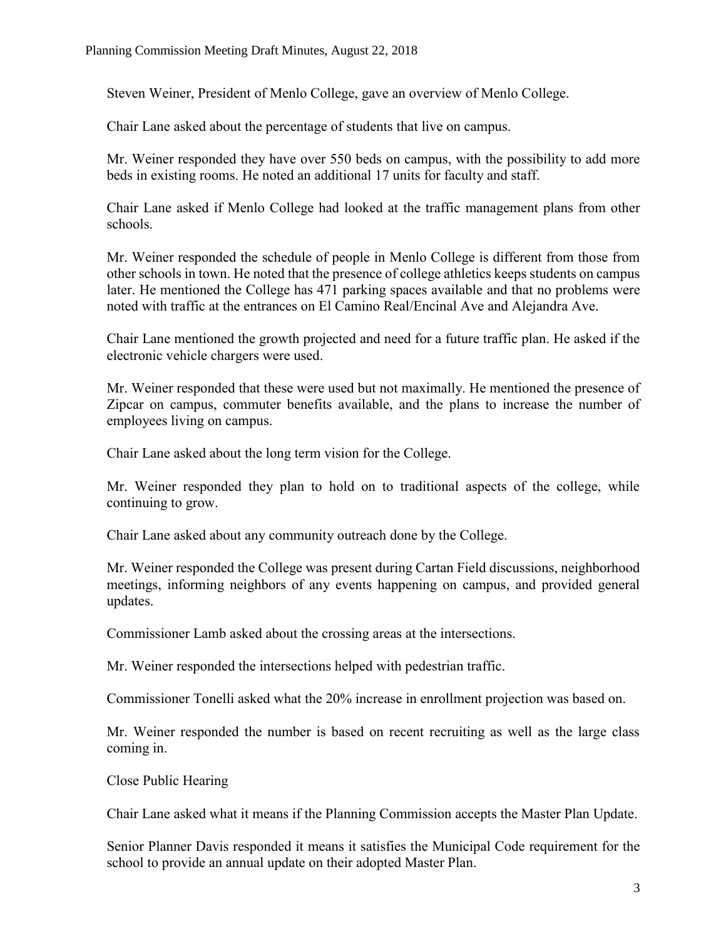Steven Weiner, President of Menlo College, gave an overview of Menlo College.

Chair Lane asked about the percentage of students that live on campus.

Mr. Weiner responded they have over 550 beds on campus, with the possibility to add more beds in existing rooms. He noted an additional 17 units for faculty and staff.

Chair Lane asked if Menlo College had looked at the traffic management plans from other schools.

Mr. Weiner responded the schedule of people in Menlo College is different from those from other schools in town. He noted that the presence of college athletics keeps students on campus later. He mentioned the College has 471 parking spaces available and that no problems were noted with traffic at the entrances on El Camino Real/Encinal Ave and Alejandra Ave.

Chair Lane mentioned the growth projected and need for a future traffic plan. He asked if the electronic vehicle chargers were used.

Mr. Weiner responded that these were used but not maximally. He mentioned the presence of Zipcar on campus, commuter benefits available, and the plans to increase the number of employees living on campus.

Chair Lane asked about the long term vision for the College.

Mr. Weiner responded they plan to hold on to traditional aspects of the college, while continuing to grow.

Chair Lane asked about any community outreach done by the College.

Mr. Weiner responded the College was present during Cartan Field discussions, neighborhood meetings, informing neighbors of any events happening on campus, and provided general updates.

Commissioner Lamb asked about the crossing areas at the intersections.

Mr. Weiner responded the intersections helped with pedestrian traffic.

Commissioner Tonelli asked what the 20% increase in enrollment projection was based on.

Mr. Weiner responded the number is based on recent recruiting as well as the large class coming in.

Close Public Hearing

Chair Lane asked what it means if the Planning Commission accepts the Master Plan Update.

Senior Planner Davis responded it means it satisfies the Municipal Code requirement for the school to provide an annual update on their adopted Master Plan.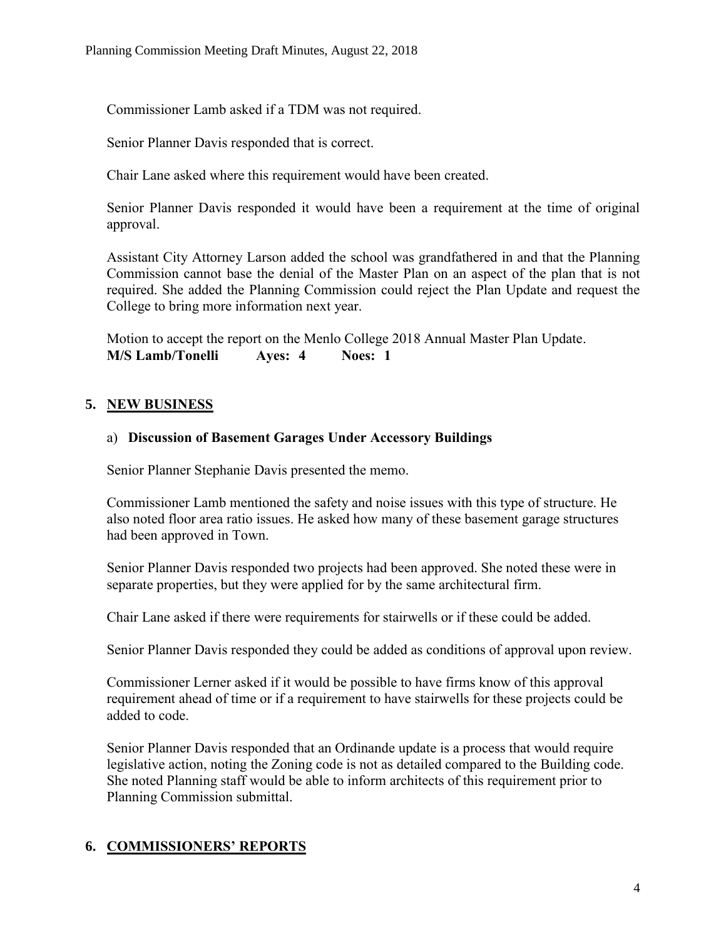Commissioner Lamb asked if a TDM was not required.

Senior Planner Davis responded that is correct.

Chair Lane asked where this requirement would have been created.

Senior Planner Davis responded it would have been a requirement at the time of original approval.

Assistant City Attorney Larson added the school was grandfathered in and that the Planning Commission cannot base the denial of the Master Plan on an aspect of the plan that is not required. She added the Planning Commission could reject the Plan Update and request the College to bring more information next year.

Motion to accept the report on the Menlo College 2018 Annual Master Plan Update. **M/S Lamb/Tonelli Ayes: 4 Noes: 1** 

## **5. NEW BUSINESS**

## a) **Discussion of Basement Garages Under Accessory Buildings**

Senior Planner Stephanie Davis presented the memo.

Commissioner Lamb mentioned the safety and noise issues with this type of structure. He also noted floor area ratio issues. He asked how many of these basement garage structures had been approved in Town.

Senior Planner Davis responded two projects had been approved. She noted these were in separate properties, but they were applied for by the same architectural firm.

Chair Lane asked if there were requirements for stairwells or if these could be added.

Senior Planner Davis responded they could be added as conditions of approval upon review.

Commissioner Lerner asked if it would be possible to have firms know of this approval requirement ahead of time or if a requirement to have stairwells for these projects could be added to code.

Senior Planner Davis responded that an Ordinande update is a process that would require legislative action, noting the Zoning code is not as detailed compared to the Building code. She noted Planning staff would be able to inform architects of this requirement prior to Planning Commission submittal.

# **6. COMMISSIONERS' REPORTS**